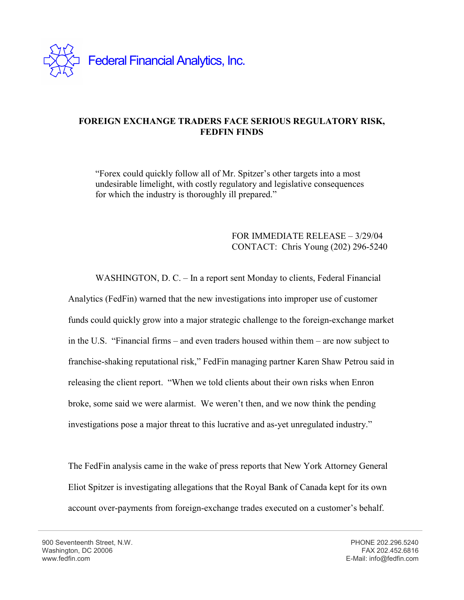

## **FOREIGN EXCHANGE TRADERS FACE SERIOUS REGULATORY RISK, FEDFIN FINDS**

"Forex could quickly follow all of Mr. Spitzer's other targets into a most undesirable limelight, with costly regulatory and legislative consequences for which the industry is thoroughly ill prepared."

## FOR IMMEDIATE RELEASE – 3/29/04 CONTACT: Chris Young (202) 296-5240

 WASHINGTON, D. C. – In a report sent Monday to clients, Federal Financial Analytics (FedFin) warned that the new investigations into improper use of customer funds could quickly grow into a major strategic challenge to the foreign-exchange market in the U.S. "Financial firms – and even traders housed within them – are now subject to franchise-shaking reputational risk," FedFin managing partner Karen Shaw Petrou said in releasing the client report. "When we told clients about their own risks when Enron broke, some said we were alarmist. We weren't then, and we now think the pending investigations pose a major threat to this lucrative and as-yet unregulated industry."

The FedFin analysis came in the wake of press reports that New York Attorney General Eliot Spitzer is investigating allegations that the Royal Bank of Canada kept for its own account over-payments from foreign-exchange trades executed on a customer's behalf.